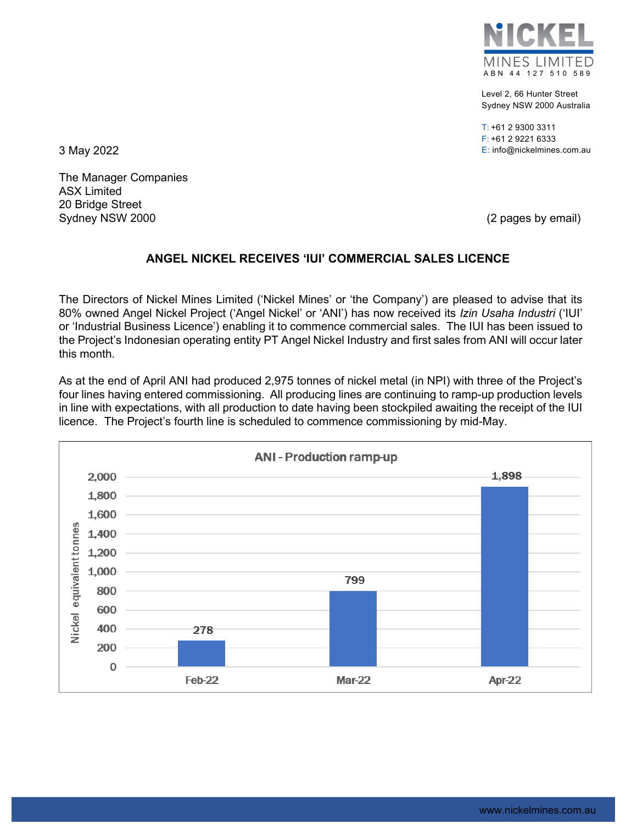

Level 2, 66 Hunter Street Sydney NSW 2000 Australia

T: +61 2 9300 3311 F: +61 2 9221 6333 3 May 2022 E: info@nickelmines.com.au

The Manager Companies ASX Limited 20 Bridge Street Sydney NSW 2000 (2 pages by email)

## **ANGEL NICKEL RECEIVES 'IUI' COMMERCIAL SALES LICENCE**

The Directors of Nickel Mines Limited ('Nickel Mines' or 'the Company') are pleased to advise that its 80% owned Angel Nickel Project ('Angel Nickel' or 'ANI') has now received its *Izin Usaha Industri* ('IUI' or 'Industrial Business Licence') enabling it to commence commercial sales. The IUI has been issued to the Project's Indonesian operating entity PT Angel Nickel Industry and first sales from ANI will occur later this month.

As at the end of April ANI had produced 2,975 tonnes of nickel metal (in NPI) with three of the Project's four lines having entered commissioning. All producing lines are continuing to ramp-up production levels in line with expectations, with all production to date having been stockpiled awaiting the receipt of the IUI licence. The Project's fourth line is scheduled to commence commissioning by mid-May.